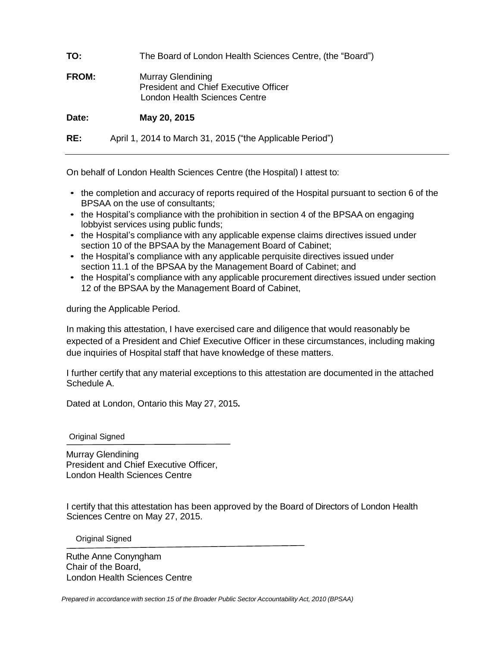| TO:          | The Board of London Health Sciences Centre, (the "Board")                                                 |
|--------------|-----------------------------------------------------------------------------------------------------------|
| <b>FROM:</b> | <b>Murray Glendining</b><br><b>President and Chief Executive Officer</b><br>London Health Sciences Centre |
| Date:        | May 20, 2015                                                                                              |
| RE:          | April 1, 2014 to March 31, 2015 ("the Applicable Period")                                                 |

On behalf of London Health Sciences Centre (the Hospital) I attest to:

- the completion and accuracy of reports required of the Hospital pursuant to section 6 of the BPSAA on the use of consultants;
- the Hospital's compliance with the prohibition in section 4 of the BPSAA on engaging lobbyist services using public funds;
- the Hospital's compliance with any applicable expense claims directives issued under section 10 of the BPSAA by the Management Board of Cabinet;
- the Hospital's compliance with any applicable perquisite directives issued under section 11.1 of the BPSAA by the Management Board of Cabinet; and
- the Hospital's compliance with any applicable procurement directives issued under section 12 of the BPSAA by the Management Board of Cabinet,

during the Applicable Period.

In making this attestation, I have exercised care and diligence that would reasonably be expected of a President and Chief Executive Officer in these circumstances, including making due inquiries of Hospital staff that have knowledge of these matters.

I further certify that any material exceptions to this attestation are documented in the attached Schedule A.

Dated at London, Ontario this May 27, 2015**.**

Original Signed

Murray Glendining President and Chief Executive Officer, London Health Sciences Centre

I certify that this attestation has been approved by the Board of Directors of London Health Sciences Centre on May 27, 2015.

Original Signed

Ruthe Anne Conyngham Chair of the Board, London Health Sciences Centre

*Prepared in accordance with section 15 of the Broader Public Sector Accountability Act, 2010 (BPSAA)*